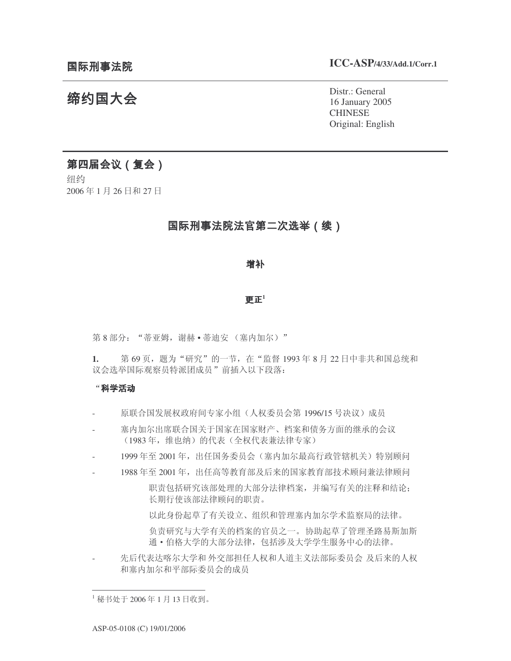# 缔约国大会

Distr.: General 16 January 2005 CHINESE Original: English

## 第四届会议 (复会)

纽约 2006年1月26日和27日

### 国际刑事法院法官第二次选举(续)

#### 增补

#### क  $\boldsymbol{\pi}^1$

第8部分: "蒂亚姆, 谢赫·蒂迪安 (塞内加尔)"

1. 第 69页,题为"研究"的一节,在"监督 1993年 8月 22 日中非共和国总统和 议会选举国际观察员特派团成员"前插入以下段落:

#### $\lq$  科学活动 アイトリック しょうかん しょうかん しょうかん しょうかん しょうかん

- 原联合国发展权政府间专家小组(人权委员会第1996/15号决议)成员
- 寒内加尔出席联合国关于国家在国家财产、档案和债务方面的继承的会议 (1983年, 维也纳)的代表(全权代表兼法律专家)
- 1999年至 2001年, 出任国务委员会(塞内加尔最高行政管辖机关)特别顾问
- 1988年至2001年, 出任高等教育部及后来的国家教育部技术顾问兼法律顾问

职责包括研究该部处理的大部分法律档案,并编写有关的注释和结论; 长期行使该部法律顾问的职责。

以此身份起草了有关设立、组织和管理塞内加尔学术监察局的法律。

负责研究与大学有关的档案的官员之一。协助起草了管理圣路易斯加斯 通•伯格大学的大部分法律,包括涉及大学学生服务中心的法律。

先后代表达喀尔大学和 外交部担任人权和人道主义法部际委员会 及后来的人权 和塞内加尔和平部际委员会的成员

 $^{-1}$  秘书处于 2006年1月13日收到。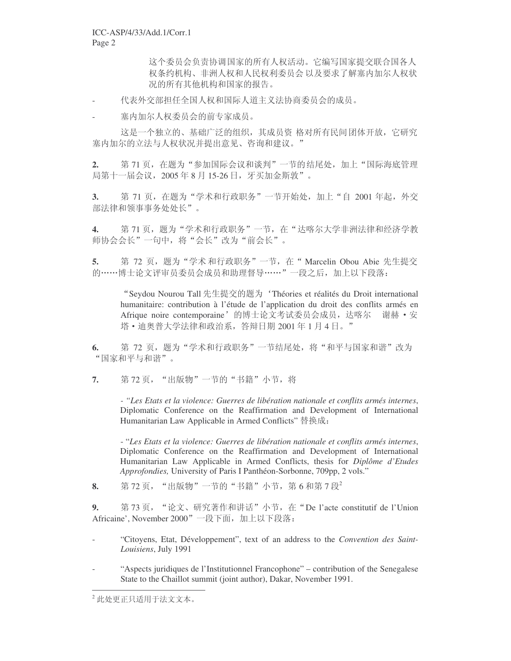这个委员会负责协调国家的所有人权活动。它编写国家提交联合国各人 权条约机构、非洲人权和人民权利委员会以及要求了解塞内加尔人权状 况的所有其他机构和国家的报告。

代表外交部担任全国人权和国际人道主义法协商委员会的成员。

塞内加尔人权委员会的前专家成员。

这是一个独立的、基础广泛的组织,其成员资格对所有民间团体开放,它研究 寒内加尔的立法与人权状况并提出意见、咨询和建议。"

2. 第71页, 在题为"参加国际会议和谈判"一节的结尾处, 加上"国际海底管理 局第十一届会议, 2005年8月15-26日, 牙买加金斯敦"。

3. 第71页, 在题为"学术和行政职务"一节开始处, 加上"自 2001 年起, 外交 部法律和领事事务处处长"。

4. 第71页,题为"学术和行政职务"一节,在"达喀尔大学非洲法律和经济学教 师协会会长"一句中,将"会长"改为"前会长"。

5. 第 72 页,题为"学术和行政职务"一节,在"Marcelin Obou Abie 先生提交 的……博士论文评审员委员会成员和助理督导……"一段之后,加上以下段落:

"Seydou Nourou Tall 先生提交的题为'Théories et réalités du Droit international humanitaire: contribution à l'étude de l'application du droit des conflits armés en Afrique noire contemporaine'的博士论文考试委员会成员, 达喀尔 谢赫 • 安 塔• 迪奧普大学法律和政治系, 答辩日期 2001 年 1 月 4 日。"

6. 第72页, 题为"学术和行政职务"一节结尾处, 将"和平与国家和谐"改为 "国家和平与和谐"。

7. 第72页, "出版物"一节的"书籍"小节, 将

*- "Les Etats et la violence: Guerres de libération nationale et conflits armés internes*, Diplomatic Conference on the Reaffirmation and Development of International Humanitarian Law Applicable in Armed Conflicts" 替换成:

- "*Les Etats et la violence: Guerres de libération nationale et conflits armés internes*, Diplomatic Conference on the Reaffirmation and Development of International Humanitarian Law Applicable in Armed Conflicts, thesis for *Diplôme d'Etudes Approfondies,* University of Paris I Panthéon-Sorbonne, 709pp, 2 vols."

8. 第72页, "出版物"一节的"书籍"小节, 第6和第7段<sup>2</sup>

9. 第73页, "论文、研究著作和讲话"小节, 在"De l'acte constitutif de l'Union Africaine', November 2000" 一段下面, 加上以下段落:

- "Citoyens, Etat, Développement", text of an address to the *Convention des Saint-Louisiens*, July 1991
- "Aspects juridiques de l'Institutionnel Francophone" contribution of the Senegalese State to the Chaillot summit (joint author), Dakar, November 1991.

 $2$  此处更正只适用于法文文本。